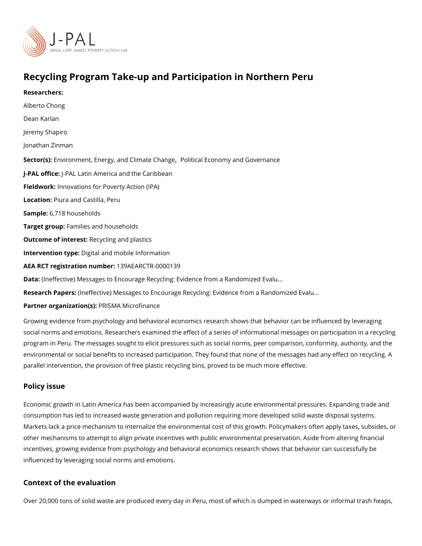## Recycling Program Take-up and Participation in Northern Pe

Researchers: Alberto Chong [Dean Ka](https://www.povertyactionlab.org/person/karlan)rlan Jeremy Shapiro [Jonathan Z](https://www.povertyactionlab.org/person/zinman)inman Sector(Eshvironment[,](https://www.povertyactionlab.org/sector/environment-energy-climate-change) Energy, and CliProditeicCalhaEnggenomy and Governance J-PAL of flicPeAL Latin America and the Caribbean Fieldworkhovations for Poverty Action (IPA) Locatio Piura and Castilla, Peru Sample6: 718 households Target grolamilies and households Outcome of inte $\texttt{Resiv}$ : cling and plastics Intervention toppetital and mobile Information AEA RCT registration 1690 A EARCTR-0000139 Data(:Ineffective) Messages to Encourage Recycling: Evidence from a Randomized Evalu&

Research Paplemesf: fective) Messages to Encourage Recycling: Evidence from a Randomized Partner organizatPoRnSSMA Microfinance

Growing evidence from psychology and behavioral economics research shows that behavio social norms and emotions. Researchers examined the effect of a series of informational program in Peru. The messages sought to elicit pressures such as social norms, peer com environmental or social benefits to increased participation. They found that none of the m parallel intervention, the provision of free plastic recycling bins, proved to be much more

#### Policy issue

Economic growth in Latin America has been accompanied by increasingly acute environme consumption has led to increased waste generation and pollution requiring more develope Markets lack a price mechanism to internalize the environmental cost of this growth. Poli other mechanisms to attempt to align private incentives with public environmental preserv incentives, growing evidence from psychology and behavioral economics research shows t influenced by leveraging social norms and emotions.

### Context of the evaluation

Over 20,000 tons of solid waste are produced every day in Peru, most of which is dumped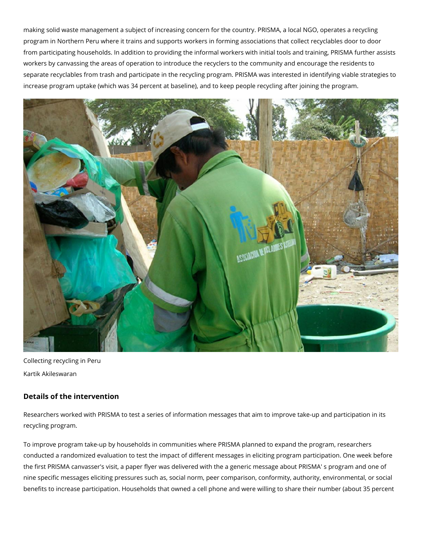making solid waste management a subject of increasing concern for the country. PRISMA, a local NGO, operates a recycling program in Northern Peru where it trains and supports workers in forming associations that collect recyclables door to door from participating households. In addition to providing the informal workers with initial tools and training, PRISMA further assists workers by canvassing the areas of operation to introduce the recyclers to the community and encourage the residents to separate recyclables from trash and participate in the recycling program. PRISMA was interested in identifying viable strategies to increase program uptake (which was 34 percent at baseline), and to keep people recycling after joining the program.



Collecting recycling in Peru Kartik Akileswaran

# **Details of the intervention**

Researchers worked with PRISMA to test a series of information messages that aim to improve take-up and participation in its recycling program.

To improve program take-up by households in communities where PRISMA planned to expand the program, researchers conducted a randomized evaluation to test the impact of different messages in eliciting program participation. One week before the first PRISMA canvasser's visit, a paper flyer was delivered with the a generic message about PRISMA' s program and one of nine specific messages eliciting pressures such as, social norm, peer comparison, conformity, authority, environmental, or social benefits to increase participation. Households that owned a cell phone and were willing to share their number (about 35 percent